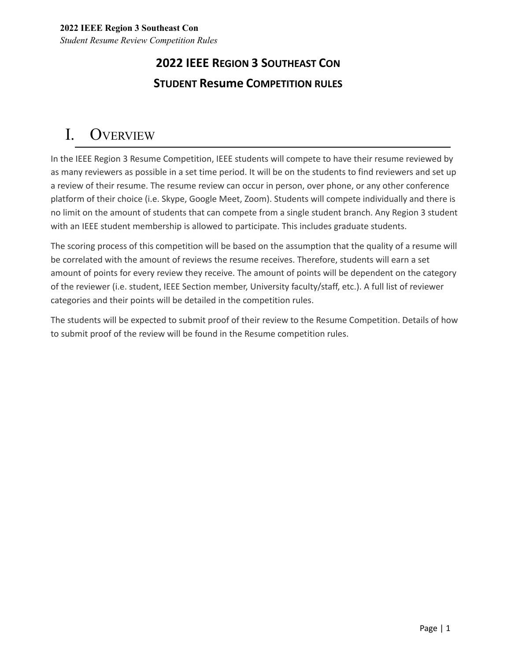# **2022 IEEE REGION 3 SOUTHEAST CON STUDENT Resume COMPETITION RULES**

# I. OVERVIEW

In the IEEE Region 3 Resume Competition, IEEE students will compete to have their resume reviewed by as many reviewers as possible in a set time period. It will be on the students to find reviewers and set up a review of their resume. The resume review can occur in person, over phone, or any other conference platform of their choice (i.e. Skype, Google Meet, Zoom). Students will compete individually and there is no limit on the amount of students that can compete from a single student branch. Any Region 3 student with an IEEE student membership is allowed to participate. This includes graduate students.

The scoring process of this competition will be based on the assumption that the quality of a resume will be correlated with the amount of reviews the resume receives. Therefore, students will earn a set amount of points for every review they receive. The amount of points will be dependent on the category of the reviewer (i.e. student, IEEE Section member, University faculty/staff, etc.). A full list of reviewer categories and their points will be detailed in the competition rules.

The students will be expected to submit proof of their review to the Resume Competition. Details of how to submit proof of the review will be found in the Resume competition rules.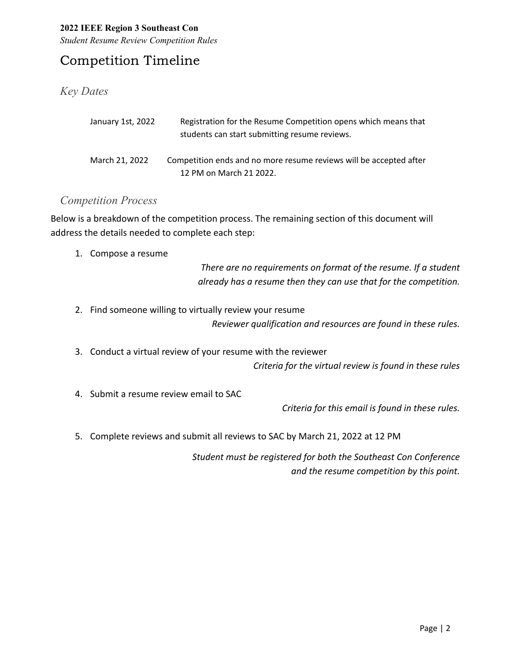*Student Resume Review Competition Rules*

### Competition Timeline

### *Key Dates*

| January 1st, 2022 | Registration for the Resume Competition opens which means that     |
|-------------------|--------------------------------------------------------------------|
|                   | students can start submitting resume reviews.                      |
|                   |                                                                    |
| March 21, 2022    | Competition ends and no more resume reviews will be accepted after |
|                   | 12 PM on March 21 2022.                                            |

### *Competition Process*

Below is a breakdown of the competition process. The remaining section of this document will address the details needed to complete each step:

1. Compose a resume

*There are no requirements on format of the resume. If a student already has a resume then they can use that for the competition.*

- 2. Find someone willing to virtually review your resume *Reviewer qualification and resources are found in these rules.*
- 3. Conduct a virtual review of your resume with the reviewer

*Criteria for the virtual review is found in these rules*

4. Submit a resume review email to SAC

*Criteria for this email is found in these rules.*

5. Complete reviews and submit all reviews to SAC by March 21, 2022 at 12 PM

*Student must be registered for both the Southeast Con Conference and the resume competition by this point.*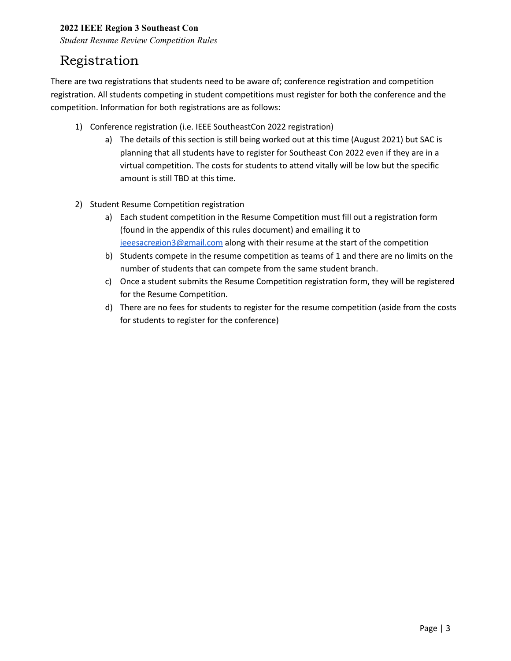*Student Resume Review Competition Rules*

## Registration

There are two registrations that students need to be aware of; conference registration and competition registration. All students competing in student competitions must register for both the conference and the competition. Information for both registrations are as follows:

- 1) Conference registration (i.e. IEEE SoutheastCon 2022 registration)
	- a) The details of this section is still being worked out at this time (August 2021) but SAC is planning that all students have to register for Southeast Con 2022 even if they are in a virtual competition. The costs for students to attend vitally will be low but the specific amount is still TBD at this time.
- 2) Student Resume Competition registration
	- a) Each student competition in the Resume Competition must fill out a registration form (found in the appendix of this rules document) and emailing it to [ieeesacregion3@gmail.com](mailto:ieeesacregion3@gmail.com) along with their resume at the start of the competition
	- b) Students compete in the resume competition as teams of 1 and there are no limits on the number of students that can compete from the same student branch.
	- c) Once a student submits the Resume Competition registration form, they will be registered for the Resume Competition.
	- d) There are no fees for students to register for the resume competition (aside from the costs for students to register for the conference)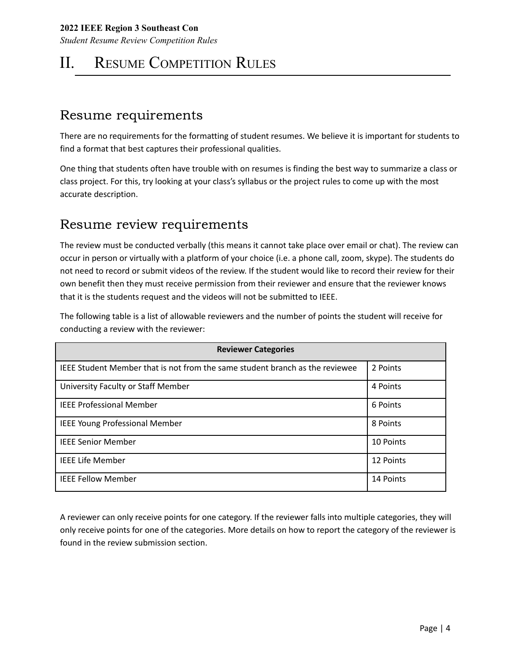*Student Resume Review Competition Rules*

# II. RESUME COMPETITION RULES

### Resume requirements

There are no requirements for the formatting of student resumes. We believe it is important for students to find a format that best captures their professional qualities.

One thing that students often have trouble with on resumes is finding the best way to summarize a class or class project. For this, try looking at your class's syllabus or the project rules to come up with the most accurate description.

### Resume review requirements

The review must be conducted verbally (this means it cannot take place over email or chat). The review can occur in person or virtually with a platform of your choice (i.e. a phone call, zoom, skype). The students do not need to record or submit videos of the review. If the student would like to record their review for their own benefit then they must receive permission from their reviewer and ensure that the reviewer knows that it is the students request and the videos will not be submitted to IEEE.

The following table is a list of allowable reviewers and the number of points the student will receive for conducting a review with the reviewer:

| <b>Reviewer Categories</b>                                                   |           |  |  |
|------------------------------------------------------------------------------|-----------|--|--|
| IEEE Student Member that is not from the same student branch as the reviewee | 2 Points  |  |  |
| University Faculty or Staff Member                                           | 4 Points  |  |  |
| <b>IEEE Professional Member</b>                                              | 6 Points  |  |  |
| <b>IEEE Young Professional Member</b>                                        | 8 Points  |  |  |
| <b>IEEE Senior Member</b>                                                    | 10 Points |  |  |
| <b>IEEE Life Member</b>                                                      | 12 Points |  |  |
| <b>IEEE Fellow Member</b>                                                    | 14 Points |  |  |

A reviewer can only receive points for one category. If the reviewer falls into multiple categories, they will only receive points for one of the categories. More details on how to report the category of the reviewer is found in the review submission section.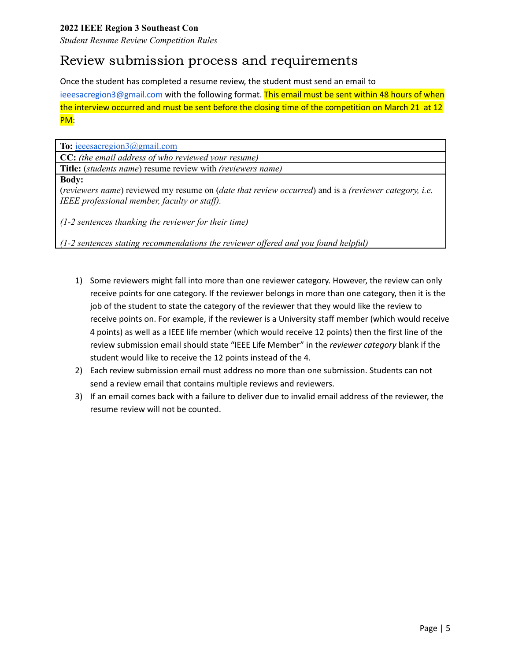*Student Resume Review Competition Rules*

### Review submission process and requirements

Once the student has completed a resume review, the student must send an email to [ieeesacregion3@gmail.com](mailto:ieeesacregion3@gmail.com) with the following format. This email must be sent within 48 hours of when the interview occurred and must be sent before the closing time of the competition on March 21 at 12

#### PM:

**To:** [ieeesacregion3@gmail.com](mailto:ieeesacregion3@gmail.com)

**CC:** *(the email address of who reviewed your resume)*

**Title:** (*students name*) resume review with *(reviewers name)*

#### **Body:**

(*reviewers name*) reviewed my resume on (*date that review occurred*) and is a *(reviewer category, i.e. IEEE professional member, faculty or staff).* 

*(1-2 sentences thanking the reviewer for their time)*

*(1-2 sentences stating recommendations the reviewer of ered and you found helpful)*

- 1) Some reviewers might fall into more than one reviewer category. However, the review can only receive points for one category. If the reviewer belongs in more than one category, then it is the job of the student to state the category of the reviewer that they would like the review to receive points on. For example, if the reviewer is a University staff member (which would receive 4 points) as well as a IEEE life member (which would receive 12 points) then the first line of the review submission email should state "IEEE Life Member" in the *reviewer category* blank if the student would like to receive the 12 points instead of the 4.
- 2) Each review submission email must address no more than one submission. Students can not send a review email that contains multiple reviews and reviewers.
- 3) If an email comes back with a failure to deliver due to invalid email address of the reviewer, the resume review will not be counted.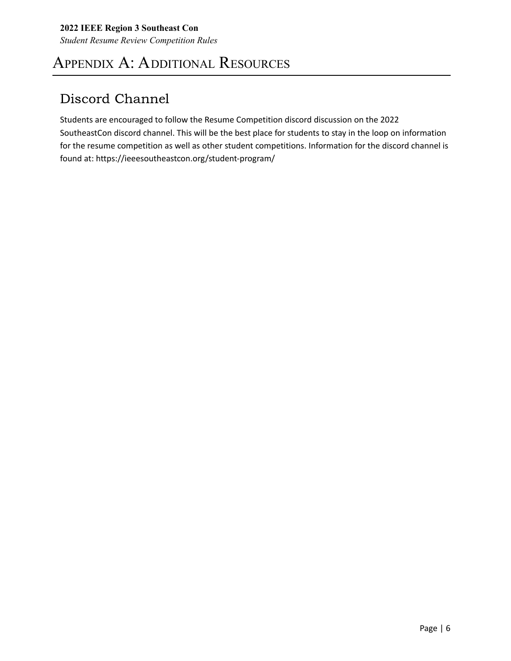# APPENDIX A: ADDITIONAL RESOURCES

## Discord Channel

Students are encouraged to follow the Resume Competition discord discussion on the 2022 SoutheastCon discord channel. This will be the best place for students to stay in the loop on information for the resume competition as well as other student competitions. Information for the discord channel is found at: https://ieeesoutheastcon.org/student-program/